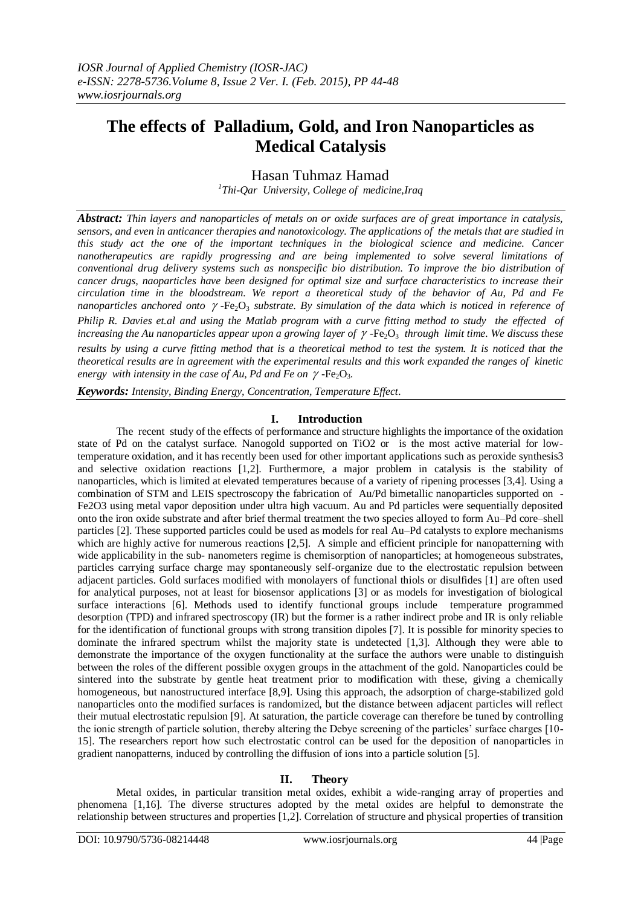# **The effects of [Palladium,](http://en.wikipedia.org/wiki/Palladium_%28disambiguation%29) Gold, and Iron Nanoparticles as Medical Catalysis**

Hasan Tuhmaz Hamad *1 Thi-Qar University, College of medicine,Iraq*

*Abstract: Thin layers and nanoparticles of metals on or oxide surfaces are of great importance in catalysis, sensors, and even in anticancer therapies and nanotoxicology. The applications of the metals that are studied in this study act the one of the important techniques in the biological science and medicine. Cancer nanotherapeutics are rapidly progressing and are being implemented to solve several limitations of conventional drug delivery systems such as nonspecific bio distribution. To improve the bio distribution of cancer drugs, naoparticles have been designed for optimal size and surface characteristics to increase their circulation time in the bloodstream. We report a theoretical study of the behavior of Au, Pd and Fe nanoparticles anchored onto*  $\gamma$ -Fe<sub>2</sub>O<sub>3</sub> *substrate. By simulation of the data which is noticed in reference of Philip R. Davies et.al and using the Matlab program with a curve fitting method to study the effected of increasing the Au nanoparticles appear upon a growing layer of*  $\gamma$ -Fe<sub>2</sub>O<sub>3</sub> *through limit time. We discuss these results by using a curve fitting method that is a theoretical method to test the system. It is noticed that the theoretical results are in agreement with the experimental results and this work expanded the ranges of kinetic energy with intensity in the case of Au, Pd and Fe on*  $\gamma$  -Fe<sub>2</sub>O<sub>3</sub>.

*Keywords: Intensity, Binding Energy, Concentration, Temperature Effect.*

## **I. Introduction**

The recent study of the effects of performance and structure highlights the importance of the oxidation state of Pd on the catalyst surface. Nanogold supported on TiO2 or is the most active material for lowtemperature oxidation, and it has recently been used for other important applications such as peroxide synthesis3 and selective oxidation reactions [1,2]. Furthermore, a major problem in catalysis is the stability of nanoparticles, which is limited at elevated temperatures because of a variety of ripening processes [3,4]. Using a combination of STM and LEIS spectroscopy the fabrication of Au/Pd bimetallic nanoparticles supported on - Fe2O3 using metal vapor deposition under ultra high vacuum. Au and Pd particles were sequentially deposited onto the iron oxide substrate and after brief thermal treatment the two species alloyed to form Au–Pd core–shell particles [2]. These supported particles could be used as models for real Au–Pd catalysts to explore mechanisms which are highly active for numerous reactions [2,5]. A simple and efficient principle for nanopatterning with wide applicability in the sub- nanometers regime is chemisorption of nanoparticles; at homogeneous substrates, particles carrying surface charge may spontaneously self-organize due to the electrostatic repulsion between adjacent particles. Gold surfaces modified with monolayers of functional thiols or disulfides [1] are often used for analytical purposes, not at least for biosensor applications [3] or as models for investigation of biological surface interactions [6]. Methods used to identify functional groups include temperature programmed desorption (TPD) and infrared spectroscopy (IR) but the former is a rather indirect probe and IR is only reliable for the identification of functional groups with strong transition dipoles [7]. It is possible for minority species to dominate the infrared spectrum whilst the majority state is undetected [1,3]. Although they were able to demonstrate the importance of the oxygen functionality at the surface the authors were unable to distinguish between the roles of the different possible oxygen groups in the attachment of the gold. Nanoparticles could be sintered into the substrate by gentle heat treatment prior to modification with these, giving a chemically homogeneous, but nanostructured interface [8,9]. Using this approach, the adsorption of charge-stabilized gold nanoparticles onto the modified surfaces is randomized, but the distance between adjacent particles will reflect their mutual electrostatic repulsion [9]. At saturation, the particle coverage can therefore be tuned by controlling the ionic strength of particle solution, thereby altering the Debye screening of the particles' surface charges [10- 15]. The researchers report how such electrostatic control can be used for the deposition of nanoparticles in gradient nanopatterns, induced by controlling the diffusion of ions into a particle solution [5].

## **II. Theory**

Metal oxides, in particular transition metal oxides, exhibit a wide-ranging array of properties and phenomena [1,16]. The diverse structures adopted by the metal oxides are helpful to demonstrate the relationship between structures and properties [1,2]. Correlation of structure and physical properties of transition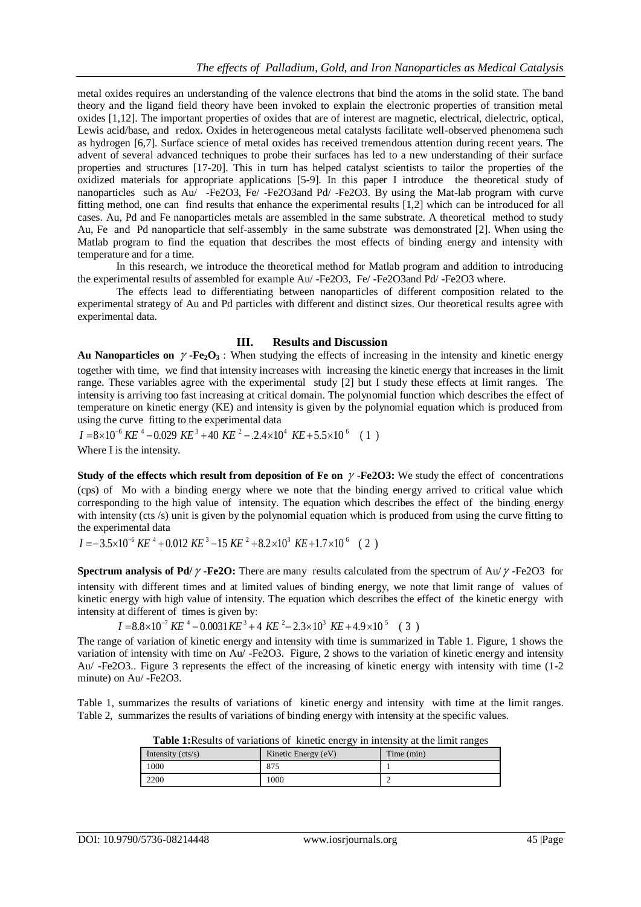metal oxides requires an understanding of the valence electrons that bind the atoms in the solid state. The band theory and the ligand field theory have been invoked to explain the electronic properties of transition metal oxides [1,12]. The important properties of oxides that are of interest are magnetic, electrical, dielectric, optical, Lewis acid/base, and redox. Oxides in heterogeneous metal catalysts facilitate well-observed phenomena such as hydrogen [6,7]. Surface science of metal oxides has received tremendous attention during recent years. The advent of several advanced techniques to probe their surfaces has led to a new understanding of their surface properties and structures [17-20]. This in turn has helped catalyst scientists to tailor the properties of the oxidized materials for appropriate applications [5-9]. In this paper I introduce the theoretical study of nanoparticles such as Au/ -Fe2O3, Fe/ -Fe2O3and Pd/ -Fe2O3. By using the Mat-lab program with curve fitting method, one can find results that enhance the experimental results [1,2] which can be introduced for all cases. Au, Pd and Fe nanoparticles metals are assembled in the same substrate. A theoretical method to study Au, Fe and Pd nanoparticle that self-assembly in the same substrate was demonstrated [2]. When using the Matlab program to find the equation that describes the most effects of binding energy and intensity with temperature and for a time.

In this research, we introduce the theoretical method for Matlab program and addition to introducing the experimental results of assembled for example Au/ -Fe2O3, Fe/ -Fe2O3and Pd/ -Fe2O3 where.

The effects lead to differentiating between nanoparticles of different composition related to the experimental strategy of Au and Pd particles with different and distinct sizes. Our theoretical results agree with experimental data.

## **III. Results and Discussion**

Au Nanoparticles on  $\gamma$ -Fe<sub>2</sub>O<sub>3</sub> : When studying the effects of increasing in the intensity and kinetic energy together with time, we find that intensity increases with increasing the kinetic energy that increases in the limit range. These variables agree with the experimental study [2] but I study these effects at limit ranges. The intensity is arriving too fast increasing at critical domain. The polynomial function which describes the effect of temperature on kinetic energy (KE) and intensity is given by the polynomial equation which is produced from using the curve fitting to the experimental data

 $I = 8 \times 10^{-6}$  KE<sup>4</sup> - 0.029 KE<sup>3</sup> + 40 KE<sup>2</sup> - .2.4  $\times 10^{4}$  KE + 5.5  $\times 10^{-6}$  (1) Where I is the intensity.

**Study of the effects which result from deposition of Fe on**  $\gamma$ **-Fe2O3:** We study the effect of concentrations (cps) of Mo with a binding energy where we note that the binding energy arrived to critical value which corresponding to the high value of intensity. The equation which describes the effect of the binding energy with intensity (cts /s) unit is given by the polynomial equation which is produced from using the curve fitting to the experimental data

 $I = -3.5 \times 10^{-6}$  KE<sup>4</sup> + 0.012 KE<sup>3</sup> - 15 KE<sup>2</sup> + 8.2×10<sup>3</sup> KE+1.7×10<sup>6</sup> (2)

**Spectrum analysis of Pd/** $\gamma$ **-Fe2O:** There are many results calculated from the spectrum of Au/ $\gamma$ -Fe2O3 for intensity with different times and at limited values of binding energy, we note that limit range of values of kinetic energy with high value of intensity. The equation which describes the effect of the kinetic energy with intensity at different of times is given by:

 $I = 8.8 \times 10^{-7}$  KE<sup>4</sup> - 0.0031 KE<sup>3</sup> + 4 KE<sup>2</sup> - 2.3×10<sup>3</sup> KE + 4.9×10<sup>5</sup> (3)

The range of variation of kinetic energy and intensity with time is summarized in Table 1. Figure, 1 shows the variation of intensity with time on Au/ -Fe2O3. Figure, 2 shows to the variation of kinetic energy and intensity Au/ -Fe2O3.. Figure 3 represents the effect of the increasing of kinetic energy with intensity with time (1-2 minute) on Au/ -Fe2O3.

Table 1, summarizes the results of variations of kinetic energy and intensity with time at the limit ranges. Table 2, summarizes the results of variations of binding energy with intensity at the specific values.

| Table 1: Results of variations of kinetic energy in intensity at the limit ranges |  |
|-----------------------------------------------------------------------------------|--|
|-----------------------------------------------------------------------------------|--|

| Intensity $(cts/s)$ | Kinetic Energy (eV) | Time (min) |
|---------------------|---------------------|------------|
| 1000                | 875                 |            |
| 2200                | 1000                |            |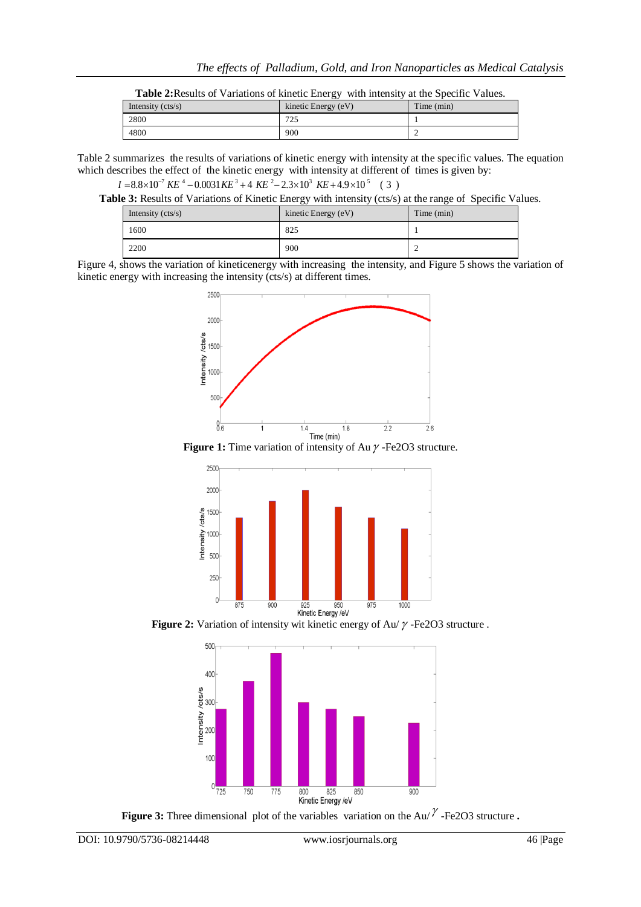| Intensity $(cts/s)$ | kinetic Energy (eV) | Time (min) |
|---------------------|---------------------|------------|
| 2800                | 705<br>ر ے          |            |
| 4800                | 900                 | ∸          |

Table 2 summarizes the results of variations of kinetic energy with intensity at the specific values. The equation which describes the effect of the kinetic energy with intensity at different of times is given by:

```
I = 8.8 \times 10^{-7} KE<sup>4</sup> - 0.0031 KE<sup>3</sup> + 4 KE<sup>2</sup> - 2.3×10<sup>3</sup> KE + 4.9×10<sup>5</sup> (3)
```
**Table 3:** Results of Variations of Kinetic Energy with intensity (cts/s) at the range of Specific Values.

| Intensity $(cts/s)$ | kinetic Energy (eV) | Time (min) |
|---------------------|---------------------|------------|
| 1600                | 825                 |            |
| 2200                | 900                 | ∽          |

Figure 4, shows the variation of kineticenergy with increasing the intensity, and Figure 5 shows the variation of kinetic energy with increasing the intensity (cts/s) at different times.



**Figure 1:** Time variation of intensity of Au  $\gamma$  -Fe2O3 structure.



Figure 2: Variation of intensity wit kinetic energy of Au/ $\gamma$ -Fe2O3 structure.



**Figure 3:** Three dimensional plot of the variables variation on the  $Au$ <sup> $\gamma$ </sup>-Fe2O3 structure.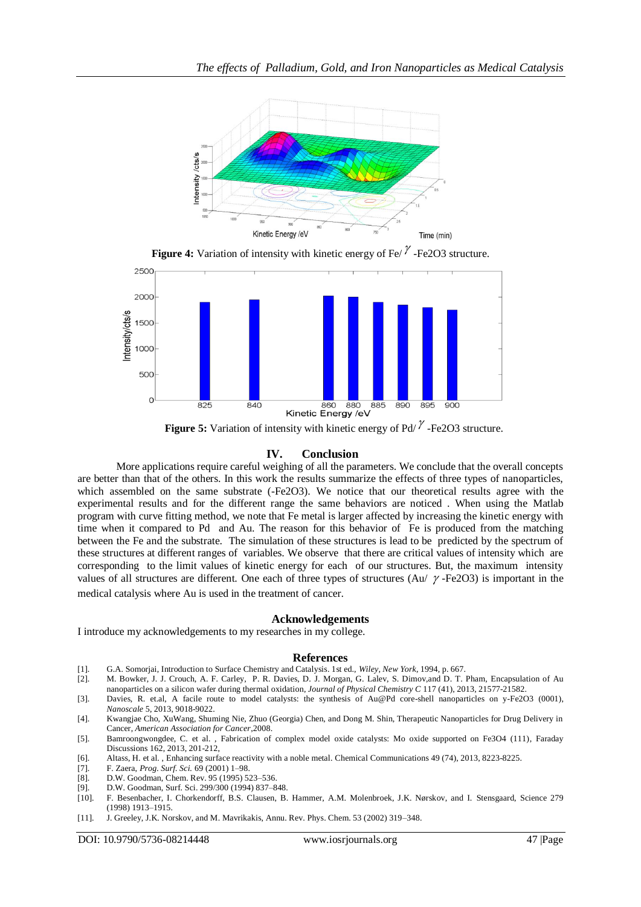

**Figure 4:** Variation of intensity with kinetic energy of Fe/ $\gamma$ -Fe2O3 structure.



**Figure 5:** Variation of intensity with kinetic energy of  $Pd/^{\gamma}$ -Fe2O3 structure.

## **IV. Conclusion**

More applications require careful weighing of all the parameters. We conclude that the overall concepts are better than that of the others. In this work the results summarize the effects of three types of nanoparticles, which assembled on the same substrate (-Fe2O3). We notice that our theoretical results agree with the experimental results and for the different range the same behaviors are noticed . When using the Matlab program with curve fitting method, we note that Fe metal is larger affected by increasing the kinetic energy with time when it compared to Pd and Au. The reason for this behavior of Fe is produced from the matching between the Fe and the substrate. The simulation of these structures is lead to be predicted by the spectrum of these structures at different ranges of variables. We observe that there are critical values of intensity which are corresponding to the limit values of kinetic energy for each of our structures. But, the maximum intensity values of all structures are different. One each of three types of structures (Au/  $\gamma$ -Fe2O3) is important in the medical catalysis where Au is used in the treatment of cancer.

#### **Acknowledgements**

I introduce my acknowledgements to my researches in my college.

#### **References**

- [1]. G.A. Somorjai, Introduction to Surface Chemistry and Catalysis. 1st ed., *Wiley, New York*, 1994, p. 667.
- [2]. M. Bowker, J. J. Crouch, A. F. Carley, P. R. Davies, D. J. Morgan, G. Lalev, S. Dimov,and D. T. Pham, [Encapsulation of Au](http://orca.cf.ac.uk/65435)  [nanoparticles on a silicon wafer during thermal oxidation,](http://orca.cf.ac.uk/65435) *Journal of Physical Chemistry C* 117 (41), 2013, 21577-21582.
- [3]. Davies, R. et.al, [A facile route to model catalysts: the synthesis of Au@Pd core-shell nanoparticles on y-Fe2O3 \(0001\),](http://orca.cf.ac.uk/49984)  *Nanoscale* 5, 2013, 9018-9022.

[4]. Kwangjae Cho, XuWang, Shuming Nie, Zhuo (Georgia) Chen, and Dong M. Shin, Therapeutic Nanoparticles for Drug Delivery in Cancer, *American Association for Cancer*,2008.

- [5]. Bamroongwongdee, C. et al. , [Fabrication of complex model oxide catalysts: Mo oxide supported on Fe3O4 \(111\),](http://orca.cf.ac.uk/45500) Faraday Discussions 162, 2013, 201-212,
- [6]. Altass, H. et al. [, Enhancing surface reactivity with a noble metal.](http://orca.cf.ac.uk/49983) Chemical Communications 49 (74), 2013, 8223-8225.
- [7]. F. Zaera, *Prog. Surf. Sci.* 69 (2001) 1–98.
- [8]. D.W. Goodman, Chem. Rev. 95 (1995) 523–536.
- [9]. D.W. Goodman, Surf. Sci. 299/300 (1994) 837–848.
- [10]. F. Besenbacher, I. Chorkendorff, B.S. Clausen, B. Hammer, A.M. Molenbroek, J.K. Nørskov, and I. Stensgaard, Science 279 (1998) 1913–1915.
- [11]. J. Greeley, J.K. Norskov, and M. Mavrikakis, Annu. Rev. Phys. Chem. 53 (2002) 319–348.